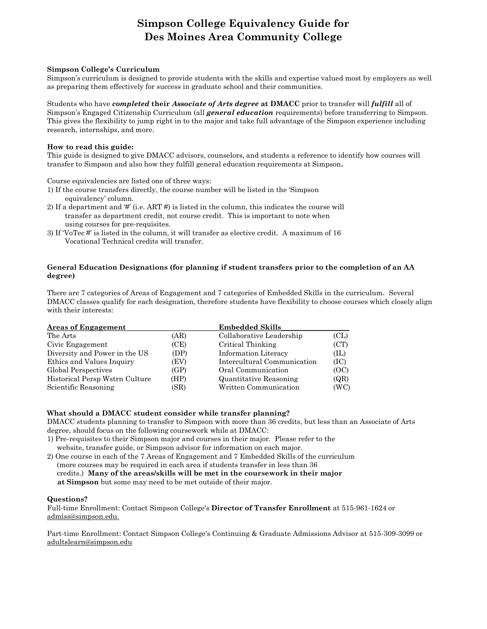#### **Simpson College Equivalency Guide for Des Moines Area Community College**

#### **Simpson College's Curriculum**

Simpson's curriculum is designed to provide students with the skills and expertise valued most by employers as well as preparing them effectively for success in graduate school and their communities.

Students who have *completed* **their** *Associate of Arts degree* **at DMACC** prior to transfer will *fulfill* all of Simpson's Engaged Citizenship Curriculum (all *general education* requirements) before transferring to Simpson. This gives the flexibility to jump right in to the major and take full advantage of the Simpson experience including research, internships, and more.

#### **How to read this guide:**

This guide is designed to give DMACC advisors, counselors, and students a reference to identify how courses will transfer to Simpson and also how they fulfill general education requirements at Simpson**.**

Course equivalencies are listed one of three ways:

- 1) If the course transfers directly, the course number will be listed in the 'Simpson equivalency' column.
- 2) If a department and  $\sharp$  (i.e. ART  $\sharp$ ) is listed in the column, this indicates the course will transfer as department credit, not course credit. This is important to note when using courses for pre-requisites.
- 3) If 'VoTec #' is listed in the column, it will transfer as elective credit. A maximum of 16 Vocational Technical credits will transfer.

#### **General Education Designations (for planning if student transfers prior to the completion of an AA degree)**

There are 7 categories of Areas of Engagement and 7 categories of Embedded Skills in the curriculum. Several DMACC classes qualify for each designation, therefore students have flexibility to choose courses which closely align with their interests:

| <b>Areas of Engagement</b>     |      | <b>Embedded Skills</b>      |      |
|--------------------------------|------|-----------------------------|------|
| The Arts                       | (AR) | Collaborative Leadership    | CL   |
| Civic Engagement               | (CE) | Critical Thinking           | (CT) |
| Diversity and Power in the US  | (DP) | Information Literacy        | (IL) |
| Ethics and Values Inquiry      | (EV) | Intercultural Communication | (IC) |
| Global Perspectives            | (GP) | Oral Communication          | (OC) |
| Historical Persp Wstrn Culture | (HP) | Quantitative Reasoning      | (QR) |
| Scientific Reasoning           | (SR) | Written Communication       | (WC) |

#### **What should a DMACC student consider while transfer planning?**

DMACC students planning to transfer to Simpson with more than 36 credits, but less than an Associate of Arts degree, should focus on the following coursework while at DMACC:

- 1) Pre-requisites to their Simpson major and courses in their major. Please refer to the website, transfer guide, or Simpson advisor for information on each major.
- 2) One course in each of the 7 Areas of Engagement and 7 Embedded Skills of the curriculum (more courses may be required in each area if students transfer in less than 36 credits.) **Many of the areas/skills will be met in the coursework in their major at Simpson** but some may need to be met outside of their major.

#### **Questions?**

Full-time Enrollment: Contact Simpson College's **Director of Transfer Enrollment** at 515-961-1624 or admiss@simpson.edu.

Part-time Enrollment: Contact Simpson College's Continuing & Graduate Admissions Advisor at 515-309-3099 or adultslearn@simpson.edu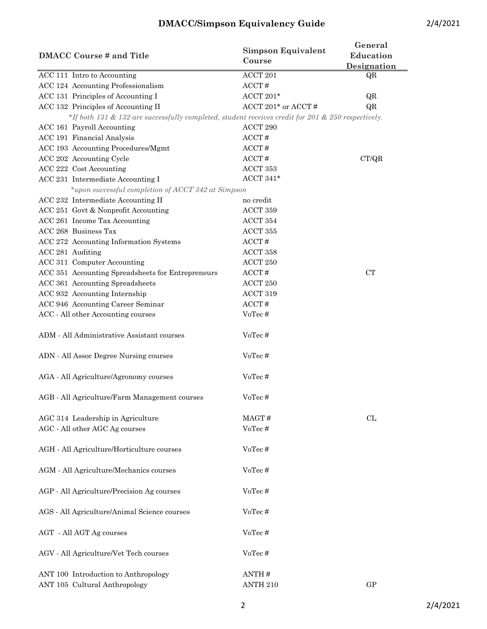| <b>DMACC Course # and Title</b>                                                                    | <b>Simpson Equivalent</b><br>Course | General<br>Education<br>Designation |
|----------------------------------------------------------------------------------------------------|-------------------------------------|-------------------------------------|
| ACC 111 Intro to Accounting                                                                        | $\operatorname{ACCT}$ 201           | QR                                  |
| ACC 124 Accounting Professionalism                                                                 | ACCT#                               |                                     |
| ACC 131 Principles of Accounting I                                                                 | ACCT 201 $*$                        | QR                                  |
| ACC 132 Principles of Accounting II                                                                | ACCT 201* or ACCT #                 | QR                                  |
| *If both 131 & 132 are successfully completed, student receives credit for 201 & 250 respectively. |                                     |                                     |
| ACC 161 Payroll Accounting                                                                         | ACCT 290                            |                                     |
| ACC 191 Financial Analysis                                                                         | ACCT#                               |                                     |
| ACC 193 Accounting Procedures/Mgmt                                                                 | ACCT#                               |                                     |
| ACC 202 Accounting Cycle                                                                           | ACCT#                               | CT/QR                               |
| ACC 222 Cost Accounting                                                                            | ACCT 353                            |                                     |
| ACC 231 Intermediate Accounting I                                                                  | ACCT 341 $*$                        |                                     |
| *upon successful completion of ACCT 342 at Simpson                                                 |                                     |                                     |
| ACC 232 Intermediate Accounting II                                                                 | no credit                           |                                     |
| ACC 251 Govt & Nonprofit Accounting                                                                | ACCT 359                            |                                     |
| ACC 261 Income Tax Accounting                                                                      | ACCT 354                            |                                     |
| ACC 268 Business Tax                                                                               | ACCT 355                            |                                     |
| ACC 272 Accounting Information Systems                                                             | ACCT#                               |                                     |
| ACC 281 Auditing                                                                                   | ACCT 358                            |                                     |
| ACC 311 Computer Accounting                                                                        | ACCT 250                            |                                     |
| ACC 351 Accounting Spreadsheets for Entrepreneurs                                                  | ACCT#                               | CT                                  |
| ACC 361 Accounting Spreadsheets                                                                    | ACCT 250                            |                                     |
| ACC 932 Accounting Internship                                                                      | ACCT 319                            |                                     |
| ACC 946 Accounting Career Seminar                                                                  | ACCT#                               |                                     |
| ACC - All other Accounting courses                                                                 | VoTec#                              |                                     |
| ADM - All Administrative Assistant courses                                                         | VoTec#                              |                                     |
| ADN - All Assoc Degree Nursing courses                                                             | VoTec#                              |                                     |
| AGA - All Agriculture/Agronomy courses                                                             | VoTec#                              |                                     |
| AGB - All Agriculture/Farm Management courses                                                      | VoTec#                              |                                     |
| AGC 314 Leadership in Agriculture                                                                  | MAGT#                               | CL                                  |
| AGC - All other AGC Ag courses                                                                     | VoTec#                              |                                     |
| AGH - All Agriculture/Horticulture courses                                                         | VoTec#                              |                                     |

| AGV - All Agriculture/Vet Tech courses                                | VoTec #                      |    |
|-----------------------------------------------------------------------|------------------------------|----|
| ANT 100 Introduction to Anthropology<br>ANT 105 Cultural Anthropology | ANTH $\#$<br><b>ANTH 210</b> | GP |

AGM - All Agriculture/Mechanics courses VoTec #

AGP - All Agriculture/Precision Ag courses VoTec #

AGS - All Agriculture/Animal Science courses VoTec #

AGT - All AGT Ag courses VoTec #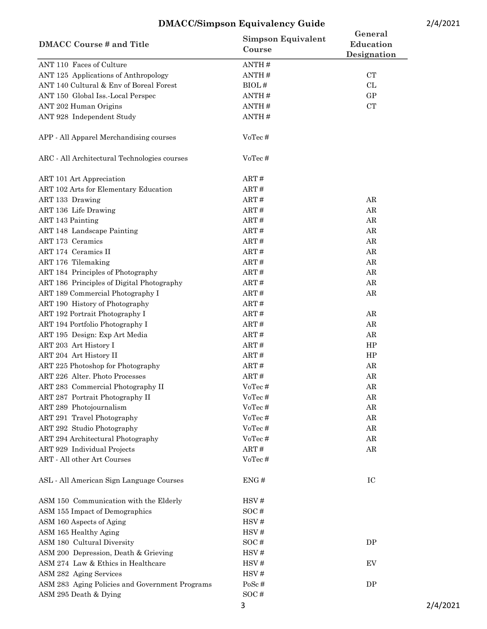| <b>DMACC Course # and Title</b>                | <b>Simpson Equivalent</b><br>Course | General<br>Education<br>Designation |  |
|------------------------------------------------|-------------------------------------|-------------------------------------|--|
| ANT 110 Faces of Culture                       | ANTH#                               |                                     |  |
| ANT 125 Applications of Anthropology           | ANTH#                               | ${\cal C}{\cal T}$                  |  |
| ANT 140 Cultural & Env of Boreal Forest        | BIOL#                               | CL                                  |  |
| ANT 150 Global Iss.-Local Perspec              | ANTH#                               | GP                                  |  |
| ANT 202 Human Origins                          | ANTH#                               | ${\rm CT}$                          |  |
| ANT 928 Independent Study                      | ANTH#                               |                                     |  |
| APP - All Apparel Merchandising courses        | VoTec#                              |                                     |  |
| ARC - All Architectural Technologies courses   | VoTec#                              |                                     |  |
| ART 101 Art Appreciation                       | ART#                                |                                     |  |
| ART 102 Arts for Elementary Education          | ART#                                |                                     |  |
| ART 133 Drawing                                | ART#                                | ${\rm AR}$                          |  |
| ART 136 Life Drawing                           | ART#                                | AR                                  |  |
| <b>ART 143 Painting</b>                        | ART#                                | AR                                  |  |
| ART 148 Landscape Painting                     | ART#                                | AR                                  |  |
| ART 173 Ceramics                               | ART#                                | AR                                  |  |
| ART 174 Ceramics II                            | ART#                                | AR                                  |  |
| ART 176 Tilemaking                             | ART#                                | AR                                  |  |
| ART 184 Principles of Photography              | ART#                                | AR                                  |  |
| ART 186 Principles of Digital Photography      | ART#                                | AR                                  |  |
| ART 189 Commercial Photography I               | ART#                                | AR                                  |  |
| ART 190 History of Photography                 | ART#                                |                                     |  |
| ART 192 Portrait Photography I                 | ART#                                | AR                                  |  |
| ART 194 Portfolio Photography I                | ART#                                | AR                                  |  |
| ART 195 Design: Exp Art Media                  | ART#                                | AR                                  |  |
| ART 203 Art History I                          | ART#                                | HP                                  |  |
| ART 204 Art History II                         | ART#                                | HP                                  |  |
| ART 225 Photoshop for Photography              | ART#                                | ${\rm AR}$                          |  |
| ART 226 Alter. Photo Processes                 | ART#                                | AR                                  |  |
| ART 283 Commercial Photography II              | VoTec#                              | ${\rm AR}$                          |  |
| ART 287 Portrait Photography II                | VoTec#                              | AR                                  |  |
| ART 289 Photojournalism                        | VoTec#                              | ${\rm AR}$                          |  |
| ART 291 Travel Photography                     | VoTec#                              | AR                                  |  |
| ART 292 Studio Photography                     | VoTec#                              | AR                                  |  |
| ART 294 Architectural Photography              | VoTec#                              | ${\rm AR}$                          |  |
| ART 929 Individual Projects                    | ART#                                | AR                                  |  |
| ART - All other Art Courses                    | VoTec#                              |                                     |  |
| ASL - All American Sign Language Courses       | ENG#                                | IC                                  |  |
| ASM 150 Communication with the Elderly         | HSV#                                |                                     |  |
| ASM 155 Impact of Demographics                 | SOC#                                |                                     |  |
| ASM 160 Aspects of Aging                       | HSV#                                |                                     |  |
| ASM 165 Healthy Aging                          | HSV#                                |                                     |  |
| ASM 180 Cultural Diversity                     | SOC#                                | DP                                  |  |
| ASM 200 Depression, Death & Grieving           | HSV#                                |                                     |  |
| ASM 274 Law & Ethics in Healthcare             | HSV#                                | EV                                  |  |
| ASM 282 Aging Services                         | HSV#                                |                                     |  |
| ASM 283 Aging Policies and Government Programs | PoSc#                               | DP                                  |  |
| ASM 295 Death & Dying                          | SOC#                                |                                     |  |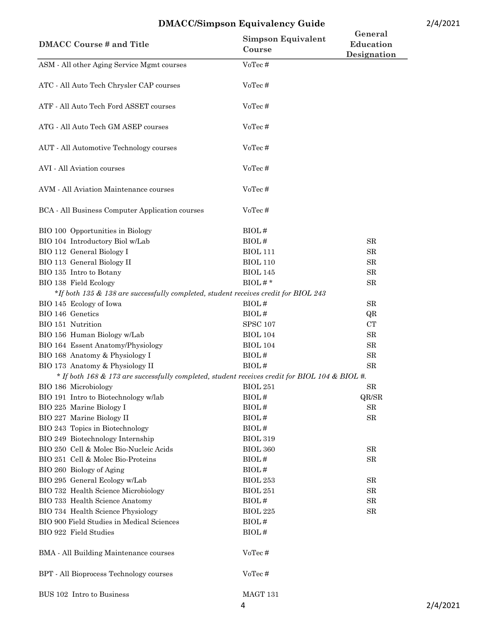| <b>DMACC Course # and Title</b>                                                                | <b>Simpson Equivalent</b><br>Course | General<br><b>Education</b><br>Designation |
|------------------------------------------------------------------------------------------------|-------------------------------------|--------------------------------------------|
| ASM - All other Aging Service Mgmt courses                                                     | VoTec#                              |                                            |
| ATC - All Auto Tech Chrysler CAP courses                                                       | VoTec#                              |                                            |
| ATF - All Auto Tech Ford ASSET courses                                                         | VoTec#                              |                                            |
| ATG - All Auto Tech GM ASEP courses                                                            | VoTec#                              |                                            |
| AUT - All Automotive Technology courses                                                        | VoTec#                              |                                            |
| AVI - All Aviation courses                                                                     | VoTec#                              |                                            |
| AVM - All Aviation Maintenance courses                                                         | VoTec#                              |                                            |
| BCA - All Business Computer Application courses                                                | VoTec#                              |                                            |
| BIO 100 Opportunities in Biology                                                               | BIOL#                               |                                            |
| BIO 104 Introductory Biol w/Lab                                                                | BIOL#                               | SR                                         |
| BIO 112 General Biology I                                                                      | <b>BIOL 111</b>                     | SR                                         |
| BIO 113 General Biology II                                                                     | <b>BIOL 110</b>                     | SR                                         |
| BIO 135 Intro to Botany                                                                        | <b>BIOL 145</b>                     | ${\rm SR}$                                 |
| BIO 138 Field Ecology                                                                          | $BIOL \#$ *                         | SR                                         |
| *If both 135 & 138 are successfully completed, student receives credit for BIOL 243            |                                     |                                            |
| BIO 145 Ecology of Iowa                                                                        | BIOL#                               | SR                                         |
| BIO 146 Genetics                                                                               | BIOL#                               | QR                                         |
| BIO 151 Nutrition                                                                              | <b>SPSC 107</b>                     | CT                                         |
| BIO 156 Human Biology w/Lab                                                                    | <b>BIOL 104</b>                     | SR                                         |
| BIO 164 Essent Anatomy/Physiology                                                              | <b>BIOL 104</b>                     | ${\rm SR}$                                 |
| BIO 168 Anatomy & Physiology I                                                                 | BIOL#                               | ${\rm SR}$                                 |
| BIO 173 Anatomy & Physiology II                                                                | BIOL#                               | SR                                         |
| * If both 168 & 173 are successfully completed, student receives credit for BIOL 104 & BIOL #. |                                     |                                            |
| BIO 186 Microbiology                                                                           | <b>BIOL 251</b>                     | ${\rm SR}$                                 |
| BIO 191 Intro to Biotechnology w/lab                                                           | BIOL#                               | QR/SR                                      |
| BIO 225 Marine Biology I                                                                       | BIOL#                               | ${\rm SR}$                                 |
| BIO 227 Marine Biology II                                                                      | BIOL#                               | ${\rm SR}$                                 |
| BIO 243 Topics in Biotechnology                                                                | BIOL#                               |                                            |
| BIO 249 Biotechnology Internship                                                               | <b>BIOL 319</b>                     |                                            |
| BIO 250 Cell & Molec Bio-Nucleic Acids                                                         | <b>BIOL 360</b>                     | SR                                         |
| BIO 251 Cell & Molec Bio-Proteins                                                              | BIOL#                               | SR                                         |
| BIO 260 Biology of Aging                                                                       | BIOL#                               |                                            |
| BIO 295 General Ecology w/Lab                                                                  | <b>BIOL 253</b>                     | SR                                         |
| BIO 732 Health Science Microbiology                                                            | <b>BIOL 251</b>                     | SR                                         |
| BIO 733 Health Science Anatomy                                                                 | BIOL#                               | ${\rm SR}$                                 |
| BIO 734 Health Science Physiology                                                              | <b>BIOL 225</b>                     | SR                                         |
| BIO 900 Field Studies in Medical Sciences                                                      | BIOL#                               |                                            |
| BIO 922 Field Studies                                                                          | BIOL#                               |                                            |
| BMA - All Building Maintenance courses                                                         | VoTec#                              |                                            |
| BPT - All Bioprocess Technology courses                                                        | VoTec#                              |                                            |
| BUS 102 Intro to Business                                                                      | MAGT 131                            |                                            |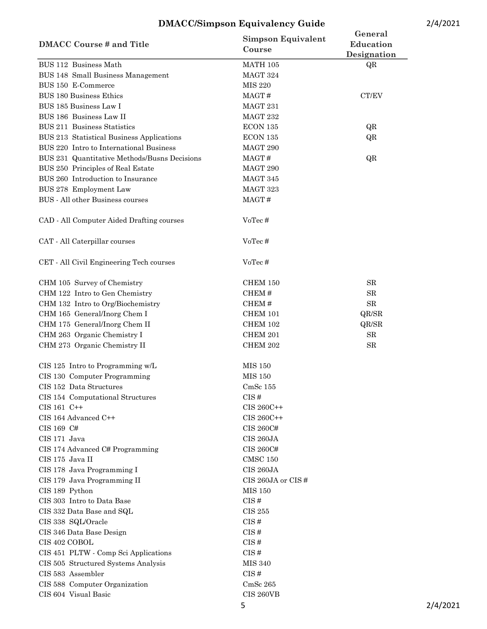| <b>DMACC Course # and Title</b>              | <b>Simpson Equivalent</b><br>Course | General<br>Education<br>Designation |
|----------------------------------------------|-------------------------------------|-------------------------------------|
| BUS 112 Business Math                        | MATH 105                            | QR                                  |
| BUS 148 Small Business Management            | MAGT 324                            |                                     |
| BUS 150 E-Commerce                           | <b>MIS 220</b>                      |                                     |
| <b>BUS 180 Business Ethics</b>               | MAGT#                               | $\operatorname{CT/EV}$              |
| BUS 185 Business Law I                       | MAGT 231                            |                                     |
| BUS 186 Business Law II                      | MAGT 232                            |                                     |
| BUS 211 Business Statistics                  | ECON 135                            | QR                                  |
| BUS 213 Statistical Business Applications    | ECON 135                            | QR                                  |
| BUS 220 Intro to International Business      | MAGT 290                            |                                     |
| BUS 231 Quantitative Methods/Busns Decisions | MAGT#                               | QR                                  |
| BUS 250 Principles of Real Estate            | MAGT 290                            |                                     |
| BUS 260 Introduction to Insurance            | MAGT 345                            |                                     |
| BUS 278 Employment Law                       | MAGT 323                            |                                     |
| BUS - All other Business courses             | MAGT#                               |                                     |
|                                              |                                     |                                     |
| CAD - All Computer Aided Drafting courses    | VoTec#                              |                                     |
| CAT - All Caterpillar courses                | VoTec#                              |                                     |
| CET - All Civil Engineering Tech courses     | VoTec#                              |                                     |
| CHM 105 Survey of Chemistry                  | <b>CHEM 150</b>                     | SR                                  |
| CHM 122 Intro to Gen Chemistry               | CHEM#                               | ${\rm SR}$                          |
| CHM 132 Intro to Org/Biochemistry            | CHEM#                               | ${\rm SR}$                          |
| CHM 165 General/Inorg Chem I                 | <b>CHEM 101</b>                     | QR/SR                               |
| CHM 175 General/Inorg Chem II                | <b>CHEM 102</b>                     | QR/SR                               |
| CHM 263 Organic Chemistry I                  | CHEM 201                            | ${\rm SR}$                          |
| CHM 273 Organic Chemistry II                 | CHEM 202                            | ${\rm SR}$                          |
| CIS 125 Intro to Programming w/L             | <b>MIS 150</b>                      |                                     |
| CIS 130 Computer Programming                 | <b>MIS 150</b>                      |                                     |
| CIS 152 Data Structures                      | $CmSc$ 155                          |                                     |
| CIS 154 Computational Structures             | CIS#                                |                                     |
| $CIS 161 C++$                                | $\rm CIS~260C++$                    |                                     |
| CIS 164 Advanced C++                         | CIS 260C++                          |                                     |
| CIS 169 C#                                   | CIS 260C#                           |                                     |
| CIS 171 Java                                 | CIS 260JA                           |                                     |
| CIS 174 Advanced C# Programming              | CIS 260C#                           |                                     |
| CIS 175 Java II                              | <b>CMSC 150</b>                     |                                     |
| CIS 178 Java Programming I                   | CIS 260JA                           |                                     |
| CIS 179 Java Programming II                  | CIS 260JA or CIS $#$                |                                     |
| CIS 189 Python                               | <b>MIS 150</b>                      |                                     |
| CIS 303 Intro to Data Base                   | CIS#                                |                                     |
| CIS 332 Data Base and SQL                    | <b>CIS 255</b>                      |                                     |
| CIS 338 SQL/Oracle                           | CIS#                                |                                     |
|                                              | CIS#                                |                                     |
| CIS 346 Data Base Design<br>CIS 402 COBOL    | CIS#                                |                                     |
|                                              |                                     |                                     |
| CIS 451 PLTW - Comp Sci Applications         | CIS#                                |                                     |
| CIS 505 Structured Systems Analysis          | <b>MIS 340</b>                      |                                     |
| CIS 583 Assembler                            | CIS#                                |                                     |
| CIS 588 Computer Organization                | CmSc <sub>265</sub>                 |                                     |
| CIS 604 Visual Basic                         | <b>CIS 260VB</b>                    |                                     |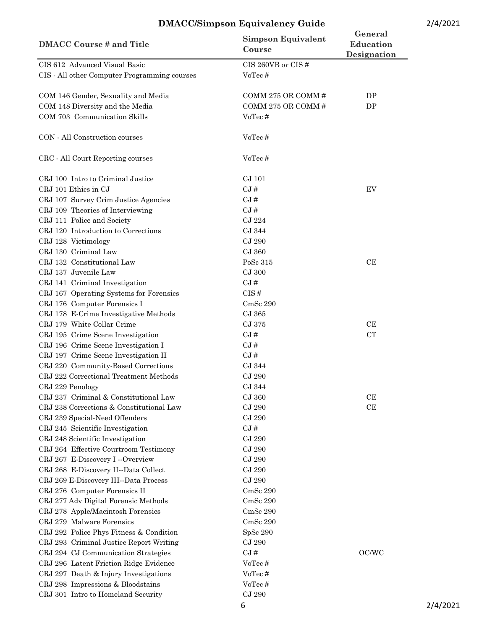| <b>DMACC Course # and Title</b>                                                                        | <b>Simpson Equivalent</b><br>Course              | General<br>Education<br>Designation |          |
|--------------------------------------------------------------------------------------------------------|--------------------------------------------------|-------------------------------------|----------|
| CIS 612 Advanced Visual Basic<br>CIS - All other Computer Programming courses                          | CIS 260VB or CIS #<br>VoTec#                     |                                     |          |
| COM 146 Gender, Sexuality and Media<br>COM 148 Diversity and the Media<br>COM 703 Communication Skills | COMM 275 OR COMM#<br>COMM 275 OR COMM#<br>VoTec# | DP<br>DP                            |          |
| CON - All Construction courses                                                                         | VoTec#                                           |                                     |          |
| CRC - All Court Reporting courses                                                                      | VoTec#                                           |                                     |          |
| CRJ 100 Intro to Criminal Justice                                                                      | CJ 101                                           |                                     |          |
| CRJ 101 Ethics in CJ                                                                                   | $CJ \#$                                          | EV                                  |          |
| CRJ 107 Survey Crim Justice Agencies                                                                   | CJ#                                              |                                     |          |
| CRJ 109 Theories of Interviewing                                                                       | CJ#                                              |                                     |          |
| CRJ 111 Police and Society                                                                             | CJ 224                                           |                                     |          |
| CRJ 120 Introduction to Corrections                                                                    | CJ 344                                           |                                     |          |
| CRJ 128 Victimology                                                                                    | CJ 290                                           |                                     |          |
| CRJ 130 Criminal Law                                                                                   | CJ 360                                           |                                     |          |
| CRJ 132 Constitutional Law                                                                             | PoSc 315                                         | CE                                  |          |
| CRJ 137 Juvenile Law                                                                                   | CJ 300                                           |                                     |          |
| CRJ 141 Criminal Investigation                                                                         | $CJ \neq$                                        |                                     |          |
| CRJ 167 Operating Systems for Forensics                                                                | CIS#                                             |                                     |          |
| CRJ 176 Computer Forensics I                                                                           | CmSc 290                                         |                                     |          |
| CRJ 178 E-Crime Investigative Methods                                                                  | CJ 365                                           |                                     |          |
| CRJ 179 White Collar Crime                                                                             | CJ 375                                           | CE                                  |          |
| CRJ 195 Crime Scene Investigation                                                                      | CJ#                                              | <b>CT</b>                           |          |
| CRJ 196 Crime Scene Investigation I                                                                    | $CJ \#$                                          |                                     |          |
| CRJ 197 Crime Scene Investigation II                                                                   | $CJ \#$                                          |                                     |          |
| CRJ 220 Community-Based Corrections                                                                    | CJ 344                                           |                                     |          |
| CRJ 222 Correctional Treatment Methods                                                                 | <b>CJ 290</b>                                    |                                     |          |
| CRJ 229 Penology                                                                                       | CJ 344                                           |                                     |          |
| CRJ 237 Criminal & Constitutional Law                                                                  | CJ 360                                           | CE                                  |          |
| CRJ 238 Corrections & Constitutional Law                                                               | <b>CJ 290</b>                                    | CE                                  |          |
| CRJ 239 Special-Need Offenders                                                                         | CJ 290                                           |                                     |          |
| CRJ 245 Scientific Investigation                                                                       | CJ#                                              |                                     |          |
| CRJ 248 Scientific Investigation                                                                       | CJ 290                                           |                                     |          |
| CRJ 264 Effective Courtroom Testimony                                                                  | <b>CJ 290</b>                                    |                                     |          |
| CRJ 267 E-Discovery I--Overview                                                                        | <b>CJ 290</b>                                    |                                     |          |
| CRJ 268 E-Discovery II--Data Collect                                                                   | CJ 290                                           |                                     |          |
| CRJ 269 E-Discovery III--Data Process                                                                  | $CJ$ 290                                         |                                     |          |
| CRJ 276 Computer Forensics II                                                                          | CmSc 290                                         |                                     |          |
| CRJ 277 Adv Digital Forensic Methods                                                                   | CmSc 290                                         |                                     |          |
| CRJ 278 Apple/Macintosh Forensics                                                                      | CmSc 290                                         |                                     |          |
| CRJ 279 Malware Forensics                                                                              | CmSc 290                                         |                                     |          |
| CRJ 292 Police Phys Fitness & Condition                                                                | SpSc 290                                         |                                     |          |
| CRJ 293 Criminal Justice Report Writing                                                                | CJ 290                                           |                                     |          |
| CRJ 294 CJ Communication Strategies                                                                    | CJ#                                              | OC/WC                               |          |
| CRJ 296 Latent Friction Ridge Evidence                                                                 | VoTec#                                           |                                     |          |
| CRJ 297 Death & Injury Investigations                                                                  | VoTec#                                           |                                     |          |
| CRJ 298 Impressions & Bloodstains                                                                      | VoTec#                                           |                                     |          |
| CRJ 301 Intro to Homeland Security                                                                     | CJ 290                                           |                                     |          |
|                                                                                                        | 6                                                |                                     | 2/4/2021 |
|                                                                                                        |                                                  |                                     |          |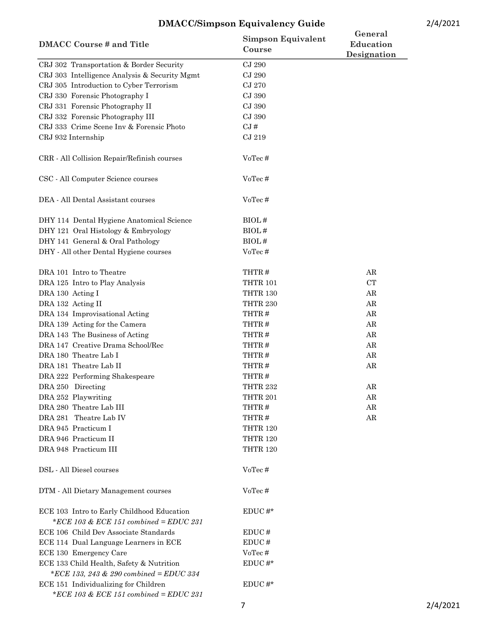| <b>DMACC Course # and Title</b>                                                      | <b>Simpson Equivalent</b><br>Course | General<br>Education<br>Designation |  |
|--------------------------------------------------------------------------------------|-------------------------------------|-------------------------------------|--|
| CRJ 302 Transportation & Border Security                                             | CJ 290                              |                                     |  |
| CRJ 303 Intelligence Analysis & Security Mgmt                                        | CJ 290                              |                                     |  |
| CRJ 305 Introduction to Cyber Terrorism                                              | CJ 270                              |                                     |  |
| CRJ 330 Forensic Photography I                                                       | CJ 390                              |                                     |  |
| CRJ 331 Forensic Photography II                                                      | CJ 390                              |                                     |  |
| CRJ 332 Forensic Photography III                                                     | CJ 390                              |                                     |  |
| CRJ 333 Crime Scene Inv & Forensic Photo                                             | CJ#                                 |                                     |  |
| CRJ 932 Internship                                                                   | CJ 219                              |                                     |  |
| CRR - All Collision Repair/Refinish courses                                          | VoTec#                              |                                     |  |
| CSC - All Computer Science courses                                                   | VoTec#                              |                                     |  |
| DEA - All Dental Assistant courses                                                   | VoTec#                              |                                     |  |
| DHY 114 Dental Hygiene Anatomical Science                                            | BIOL#                               |                                     |  |
| DHY 121 Oral Histology & Embryology                                                  | BIOL#                               |                                     |  |
| DHY 141 General & Oral Pathology                                                     | BIOL#                               |                                     |  |
| DHY - All other Dental Hygiene courses                                               | VoTec#                              |                                     |  |
| DRA 101 Intro to Theatre                                                             | THTR#                               | AR                                  |  |
| DRA 125 Intro to Play Analysis                                                       | <b>THTR 101</b>                     | CT                                  |  |
| DRA 130 Acting I                                                                     | <b>THTR 130</b>                     | AR                                  |  |
| DRA 132 Acting II                                                                    | THTR 230                            | AR                                  |  |
| DRA 134 Improvisational Acting                                                       | THTR#                               | AR                                  |  |
| DRA 139 Acting for the Camera                                                        | THTR#                               | AR                                  |  |
| DRA 143 The Business of Acting                                                       | THTR#                               | AR                                  |  |
| DRA 147 Creative Drama School/Rec                                                    | THTR#                               | AR                                  |  |
| DRA 180 Theatre Lab I                                                                | THTR#                               | ${\rm AR}$                          |  |
| DRA 181 Theatre Lab II                                                               | THTR#                               | AR                                  |  |
| DRA 222 Performing Shakespeare                                                       | THTR#                               |                                     |  |
| DRA 250 Directing                                                                    | THTR 232                            | AR                                  |  |
| DRA 252 Playwriting                                                                  | <b>THTR 201</b>                     | AR                                  |  |
| DRA 280 Theatre Lab III                                                              | THTR#                               | ${\rm AR}$                          |  |
| DRA 281 Theatre Lab IV                                                               | THTR#                               | ${\rm AR}$                          |  |
| DRA 945 Practicum I                                                                  | <b>THTR 120</b>                     |                                     |  |
| DRA 946 Practicum II                                                                 | <b>THTR 120</b>                     |                                     |  |
| DRA 948 Practicum III                                                                | <b>THTR 120</b>                     |                                     |  |
| DSL - All Diesel courses                                                             | VoTec#                              |                                     |  |
| DTM - All Dietary Management courses                                                 | VoTec#                              |                                     |  |
| ECE 103 Intro to Early Childhood Education<br>*ECE 103 & ECE 151 combined = EDUC 231 | $EDUC \#^*$                         |                                     |  |
| ECE 106 Child Dev Associate Standards                                                | EDUC <sup>#</sup>                   |                                     |  |
| ECE 114 Dual Language Learners in ECE                                                | EDUC#                               |                                     |  |
| ECE 130 Emergency Care                                                               | VoTec#                              |                                     |  |
| ECE 133 Child Health, Safety & Nutrition                                             | EDUC $\#^*$                         |                                     |  |
| *ECE 133, 243 & 290 combined = EDUC 334                                              |                                     |                                     |  |
| ECE 151 Individualizing for Children                                                 | $EDUC#*$                            |                                     |  |
| *ECE 103 & ECE 151 combined = EDUC 231                                               |                                     |                                     |  |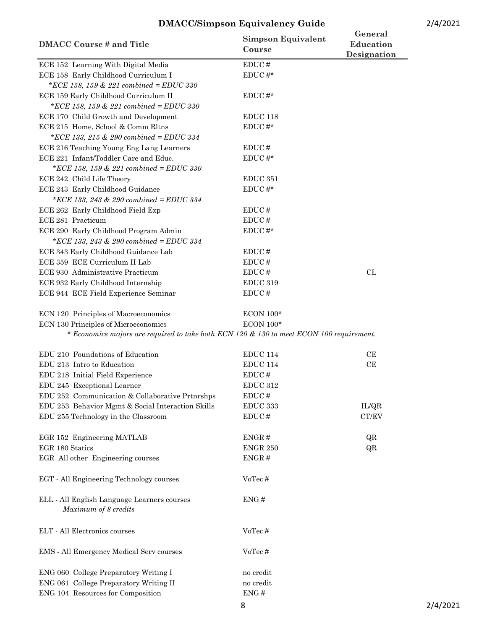| <b>DMACC Course # and Title</b>                                                          | <b>Simpson Equivalent</b><br>Course | General<br>Education<br>Designation |
|------------------------------------------------------------------------------------------|-------------------------------------|-------------------------------------|
| ECE 152 Learning With Digital Media                                                      | EDUC#                               |                                     |
| ECE 158 Early Childhood Curriculum I                                                     | $EDUC#*$                            |                                     |
| *ECE 158, 159 & 221 combined = EDUC 330                                                  |                                     |                                     |
| ECE 159 Early Childhood Curriculum II                                                    | $EDUC#*$                            |                                     |
| *ECE 158, 159 & 221 combined = EDUC 330                                                  |                                     |                                     |
| ECE 170 Child Growth and Development                                                     | EDUC <sub>118</sub>                 |                                     |
| ECE 215 Home, School & Comm Rltns                                                        | $\mathop{\rm EDUC}\nolimits$ #*     |                                     |
| *ECE 133, 215 & 290 combined = EDUC 334                                                  |                                     |                                     |
| ECE 216 Teaching Young Eng Lang Learners                                                 | EDUC#                               |                                     |
| ECE 221 Infant/Toddler Care and Educ.                                                    | $EDUC#*$                            |                                     |
| *ECE 158, 159 & 221 combined = EDUC 330                                                  |                                     |                                     |
| ECE 242 Child Life Theory                                                                | EDUC 351                            |                                     |
| ECE 243 Early Childhood Guidance                                                         | EDUC#*                              |                                     |
| *ECE 133, 243 & 290 combined = EDUC 334                                                  |                                     |                                     |
| ECE 262 Early Childhood Field Exp                                                        | EDUC#                               |                                     |
| ECE 281 Practicum                                                                        | EDUC <sup>#</sup>                   |                                     |
| ECE 290 Early Childhood Program Admin                                                    | $EDUC$ #*                           |                                     |
| *ECE 133, 243 & 290 combined = EDUC 334                                                  |                                     |                                     |
| ECE 343 Early Childhood Guidance Lab                                                     | EDUC#                               |                                     |
| ECE 359 ECE Curriculum II Lab                                                            | EDUC#                               |                                     |
| ECE 930 Administrative Practicum                                                         | EDUC <sup>#</sup>                   | CL                                  |
| ECE 932 Early Childhood Internship                                                       | EDUC <sub>319</sub>                 |                                     |
| ECE 944 ECE Field Experience Seminar                                                     | $\mathop{\rm EDUC}\nolimits$ #      |                                     |
| ECN 120 Principles of Macroeconomics                                                     | <b>ECON 100*</b>                    |                                     |
| ECN 130 Principles of Microeconomics                                                     | <b>ECON 100*</b>                    |                                     |
| * Economics majors are required to take both ECN 120 & 130 to meet ECON 100 requirement. |                                     |                                     |
| EDU 210 Foundations of Education                                                         | EDUC 114                            | CE                                  |
| EDU 213 Intro to Education                                                               | <b>EDUC 114</b>                     | CE                                  |
| EDU 218 Initial Field Experience                                                         | EDUC#                               |                                     |
| EDU 245 Exceptional Learner                                                              | EDUC 312                            |                                     |
| EDU 252 Communication & Collaborative Prtnrshps                                          | EDUC <sup>#</sup>                   |                                     |
| EDU 253 Behavior Mgmt & Social Interaction Skills                                        | EDUC 333                            | IL/QR                               |
| EDU 255 Technology in the Classroom                                                      | EDUC#                               | CT/EV                               |
| EGR 152 Engineering MATLAB                                                               | ENGR#                               | QR                                  |
| EGR 180 Statics                                                                          | <b>ENGR 250</b>                     | QR                                  |
| EGR All other Engineering courses                                                        | ENGR#                               |                                     |
| EGT - All Engineering Technology courses                                                 | VoTec#                              |                                     |
| ELL - All English Language Learners courses<br>Maximum of 8 credits                      | ENG#                                |                                     |
| ELT - All Electronics courses                                                            | VoTec#                              |                                     |
| EMS - All Emergency Medical Serv courses                                                 | VoTec#                              |                                     |
| ENG 060 College Preparatory Writing I                                                    | no credit                           |                                     |
| ENG 061 College Preparatory Writing II                                                   | no credit                           |                                     |
| ENG 104 Resources for Composition                                                        | ENG#                                |                                     |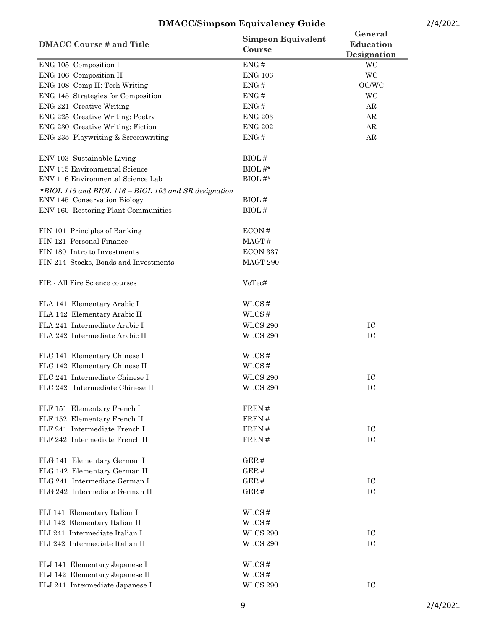| <b>DMACC Course # and Title</b>                      | <b>Simpson Equivalent</b><br>Course | General<br>Education<br>Designation |  |
|------------------------------------------------------|-------------------------------------|-------------------------------------|--|
| ENG 105 Composition I                                | ENG#                                | WC                                  |  |
| ENG 106 Composition II                               | <b>ENG 106</b>                      | WC                                  |  |
| ENG 108 Comp II: Tech Writing                        | ENG#                                | OC/WC                               |  |
| ENG 145 Strategies for Composition                   | ENG#                                | WC                                  |  |
| ENG 221 Creative Writing                             | ENG#                                | AR                                  |  |
| ENG 225 Creative Writing: Poetry                     | <b>ENG 203</b>                      | AR                                  |  |
| ENG 230 Creative Writing: Fiction                    | <b>ENG 202</b>                      | AR                                  |  |
| ENG 235 Playwriting & Screenwriting                  | ENG#                                | AR                                  |  |
| ENV 103 Sustainable Living                           | BIOL#                               |                                     |  |
| ENV 115 Environmental Science                        | BIOL#*                              |                                     |  |
| ENV 116 Environmental Science Lab                    | $BIOL \#^*$                         |                                     |  |
| *BIOL 115 and BIOL 116 = BIOL 103 and SR designation |                                     |                                     |  |
| ENV 145 Conservation Biology                         | BIOL#                               |                                     |  |
| ENV 160 Restoring Plant Communities                  | BIOL#                               |                                     |  |
| FIN 101 Principles of Banking                        | ECON#                               |                                     |  |
| FIN 121 Personal Finance                             | MAGT#                               |                                     |  |
| FIN 180 Intro to Investments                         | ECON 337                            |                                     |  |
| FIN 214 Stocks, Bonds and Investments                | MAGT 290                            |                                     |  |
| FIR - All Fire Science courses                       | VoTec#                              |                                     |  |
| FLA 141 Elementary Arabic I                          | WLCS#                               |                                     |  |
| FLA 142 Elementary Arabic II                         | WLCS#                               |                                     |  |
| FLA 241 Intermediate Arabic I                        | <b>WLCS 290</b>                     | IC                                  |  |
| FLA 242 Intermediate Arabic II                       | <b>WLCS 290</b>                     | IC                                  |  |
| FLC 141 Elementary Chinese I                         | WLCS#                               |                                     |  |
| FLC 142 Elementary Chinese II                        | WLCS#                               |                                     |  |
| FLC 241 Intermediate Chinese I                       | <b>WLCS 290</b>                     | IC                                  |  |
| FLC 242 Intermediate Chinese II                      | <b>WLCS 290</b>                     | IC                                  |  |
| FLF 151 Elementary French I                          | FREN#                               |                                     |  |
| FLF 152 Elementary French II                         | FREN#                               |                                     |  |
| FLF 241 Intermediate French I                        | FREN#                               | IC                                  |  |
| FLF 242 Intermediate French II                       | FREN#                               | IC                                  |  |
| FLG 141 Elementary German I                          | GER#                                |                                     |  |
| FLG 142 Elementary German II                         | GER#                                |                                     |  |
| FLG 241 Intermediate German I                        | GER#                                | IC                                  |  |
| FLG 242 Intermediate German II                       | GER#                                | IC                                  |  |
| FLI 141 Elementary Italian I                         | WLCS#                               |                                     |  |
| FLI 142 Elementary Italian II                        | WLCS#                               |                                     |  |
| FLI 241 Intermediate Italian I                       | <b>WLCS 290</b>                     | IC                                  |  |
| FLI 242 Intermediate Italian II                      | <b>WLCS 290</b>                     | IC                                  |  |
| FLJ 141 Elementary Japanese I                        | WLCS#                               |                                     |  |
| FLJ 142 Elementary Japanese II                       | WLCS#                               |                                     |  |
| FLJ 241 Intermediate Japanese I                      | <b>WLCS 290</b>                     | IC                                  |  |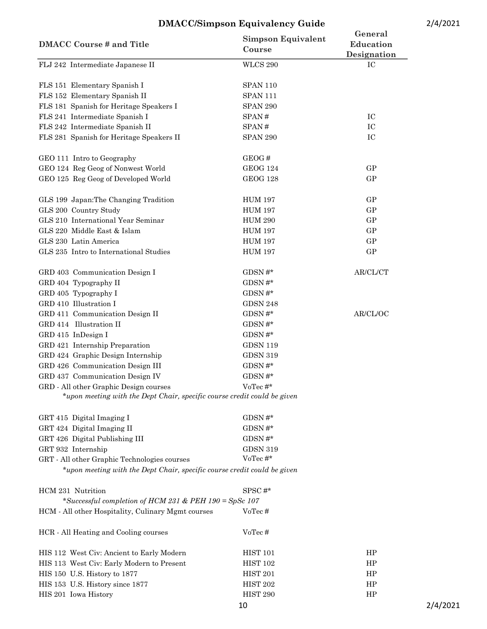| <b>WLCS 290</b><br>IC<br><b>SPAN 110</b><br>FLS 151 Elementary Spanish I<br>FLS 152 Elementary Spanish II<br><b>SPAN 111</b><br>FLS 181 Spanish for Heritage Speakers I<br><b>SPAN 290</b><br>FLS 241 Intermediate Spanish I<br>IC<br>SPAN#<br>FLS 242 Intermediate Spanish II<br>IC<br>SPAN#<br>IC<br>FLS 281 Spanish for Heritage Speakers II<br><b>SPAN 290</b><br>GEO 111 Intro to Geography<br>GEOG#<br>GEO 124 Reg Geog of Nonwest World<br>GP<br><b>GEOG 124</b><br><b>GEOG 128</b><br>GP<br>GEO 125 Reg Geog of Developed World<br>GP<br>GLS 199 Japan: The Changing Tradition<br><b>HUM 197</b><br>GP<br>GLS 200 Country Study<br><b>HUM 197</b><br>GLS 210 International Year Seminar<br>GP<br><b>HUM 290</b><br>GLS 220 Middle East & Islam<br>GP<br><b>HUM 197</b><br>GP<br>GLS 230 Latin America<br><b>HUM 197</b><br><b>HUM 197</b><br>GP<br>GLS 235 Intro to International Studies<br>GRD 403 Communication Design I<br>$GDSN \#^*$<br>AR/CL/CT<br>GDSN $\#^*$<br>GRD 404 Typography II<br>GDSN#*<br>GRD 405 Typography I<br>GRD 410 Illustration I<br><b>GDSN 248</b><br>$\mathrm{GDSN}\,\#^*$<br>GRD 411 Communication Design II<br>AR/CL/OC<br>GRD 414 Illustration II<br>$\mathrm{GDSN}\,\#^*$<br>GDSN#*<br>GRD 415 InDesign I<br>GRD 421 Internship Preparation<br><b>GDSN 119</b><br>GRD 424 Graphic Design Internship<br><b>GDSN 319</b><br>$\mathrm{GDSN}\,\#^*$<br>GRD 426 Communication Design III<br>GRD 437 Communication Design IV<br>$\mathrm{GDSN}\,\#^*$<br>GRD - All other Graphic Design courses<br>VoTec #*<br>*upon meeting with the Dept Chair, specific course credit could be given<br>GDSN#*<br>GRT 424 Digital Imaging II<br>GDSN#*<br>GDSN#*<br>GRT 426 Digital Publishing III<br>GRT 932 Internship<br><b>GDSN 319</b><br>VoTec $\#^{\star}$<br>GRT - All other Graphic Technologies courses<br>*upon meeting with the Dept Chair, specific course credit could be given<br>HCM 231 Nutrition<br>$SPSC \#^*$<br>*Successful completion of HCM 231 & PEH 190 = SpSc 107<br>HCM - All other Hospitality, Culinary Mgmt courses<br>VoTec#<br>HCR - All Heating and Cooling courses<br>VoTec#<br><b>HIST 101</b><br>HP<br>HIS 112 West Civ: Ancient to Early Modern<br>HIS 113 West Civ: Early Modern to Present<br><b>HIST 102</b><br>HP<br><b>HIST 201</b><br>HP<br>HIS 150 U.S. History to 1877<br>HIS 153 U.S. History since 1877<br><b>HIST 202</b><br>HP<br>HIS 201 Iowa History<br>HIST <sub>290</sub><br>HP<br>10 | <b>DMACC Course # and Title</b>  | <b>Simpson Equivalent</b><br>Course | General<br>Education<br>Designation |  |
|-----------------------------------------------------------------------------------------------------------------------------------------------------------------------------------------------------------------------------------------------------------------------------------------------------------------------------------------------------------------------------------------------------------------------------------------------------------------------------------------------------------------------------------------------------------------------------------------------------------------------------------------------------------------------------------------------------------------------------------------------------------------------------------------------------------------------------------------------------------------------------------------------------------------------------------------------------------------------------------------------------------------------------------------------------------------------------------------------------------------------------------------------------------------------------------------------------------------------------------------------------------------------------------------------------------------------------------------------------------------------------------------------------------------------------------------------------------------------------------------------------------------------------------------------------------------------------------------------------------------------------------------------------------------------------------------------------------------------------------------------------------------------------------------------------------------------------------------------------------------------------------------------------------------------------------------------------------------------------------------------------------------------------------------------------------------------------------------------------------------------------------------------------------------------------------------------------------------------------------------------------------------------------------------------------------------------------------------------------------------------------------------------------------------------------------------------------------------|----------------------------------|-------------------------------------|-------------------------------------|--|
|                                                                                                                                                                                                                                                                                                                                                                                                                                                                                                                                                                                                                                                                                                                                                                                                                                                                                                                                                                                                                                                                                                                                                                                                                                                                                                                                                                                                                                                                                                                                                                                                                                                                                                                                                                                                                                                                                                                                                                                                                                                                                                                                                                                                                                                                                                                                                                                                                                                                 | FLJ 242 Intermediate Japanese II |                                     |                                     |  |
|                                                                                                                                                                                                                                                                                                                                                                                                                                                                                                                                                                                                                                                                                                                                                                                                                                                                                                                                                                                                                                                                                                                                                                                                                                                                                                                                                                                                                                                                                                                                                                                                                                                                                                                                                                                                                                                                                                                                                                                                                                                                                                                                                                                                                                                                                                                                                                                                                                                                 |                                  |                                     |                                     |  |
|                                                                                                                                                                                                                                                                                                                                                                                                                                                                                                                                                                                                                                                                                                                                                                                                                                                                                                                                                                                                                                                                                                                                                                                                                                                                                                                                                                                                                                                                                                                                                                                                                                                                                                                                                                                                                                                                                                                                                                                                                                                                                                                                                                                                                                                                                                                                                                                                                                                                 |                                  |                                     |                                     |  |
|                                                                                                                                                                                                                                                                                                                                                                                                                                                                                                                                                                                                                                                                                                                                                                                                                                                                                                                                                                                                                                                                                                                                                                                                                                                                                                                                                                                                                                                                                                                                                                                                                                                                                                                                                                                                                                                                                                                                                                                                                                                                                                                                                                                                                                                                                                                                                                                                                                                                 |                                  |                                     |                                     |  |
| 2/4/2021                                                                                                                                                                                                                                                                                                                                                                                                                                                                                                                                                                                                                                                                                                                                                                                                                                                                                                                                                                                                                                                                                                                                                                                                                                                                                                                                                                                                                                                                                                                                                                                                                                                                                                                                                                                                                                                                                                                                                                                                                                                                                                                                                                                                                                                                                                                                                                                                                                                        |                                  |                                     |                                     |  |
|                                                                                                                                                                                                                                                                                                                                                                                                                                                                                                                                                                                                                                                                                                                                                                                                                                                                                                                                                                                                                                                                                                                                                                                                                                                                                                                                                                                                                                                                                                                                                                                                                                                                                                                                                                                                                                                                                                                                                                                                                                                                                                                                                                                                                                                                                                                                                                                                                                                                 |                                  |                                     |                                     |  |
|                                                                                                                                                                                                                                                                                                                                                                                                                                                                                                                                                                                                                                                                                                                                                                                                                                                                                                                                                                                                                                                                                                                                                                                                                                                                                                                                                                                                                                                                                                                                                                                                                                                                                                                                                                                                                                                                                                                                                                                                                                                                                                                                                                                                                                                                                                                                                                                                                                                                 |                                  |                                     |                                     |  |
|                                                                                                                                                                                                                                                                                                                                                                                                                                                                                                                                                                                                                                                                                                                                                                                                                                                                                                                                                                                                                                                                                                                                                                                                                                                                                                                                                                                                                                                                                                                                                                                                                                                                                                                                                                                                                                                                                                                                                                                                                                                                                                                                                                                                                                                                                                                                                                                                                                                                 |                                  |                                     |                                     |  |
|                                                                                                                                                                                                                                                                                                                                                                                                                                                                                                                                                                                                                                                                                                                                                                                                                                                                                                                                                                                                                                                                                                                                                                                                                                                                                                                                                                                                                                                                                                                                                                                                                                                                                                                                                                                                                                                                                                                                                                                                                                                                                                                                                                                                                                                                                                                                                                                                                                                                 |                                  |                                     |                                     |  |
|                                                                                                                                                                                                                                                                                                                                                                                                                                                                                                                                                                                                                                                                                                                                                                                                                                                                                                                                                                                                                                                                                                                                                                                                                                                                                                                                                                                                                                                                                                                                                                                                                                                                                                                                                                                                                                                                                                                                                                                                                                                                                                                                                                                                                                                                                                                                                                                                                                                                 |                                  |                                     |                                     |  |
|                                                                                                                                                                                                                                                                                                                                                                                                                                                                                                                                                                                                                                                                                                                                                                                                                                                                                                                                                                                                                                                                                                                                                                                                                                                                                                                                                                                                                                                                                                                                                                                                                                                                                                                                                                                                                                                                                                                                                                                                                                                                                                                                                                                                                                                                                                                                                                                                                                                                 |                                  |                                     |                                     |  |
|                                                                                                                                                                                                                                                                                                                                                                                                                                                                                                                                                                                                                                                                                                                                                                                                                                                                                                                                                                                                                                                                                                                                                                                                                                                                                                                                                                                                                                                                                                                                                                                                                                                                                                                                                                                                                                                                                                                                                                                                                                                                                                                                                                                                                                                                                                                                                                                                                                                                 |                                  |                                     |                                     |  |
|                                                                                                                                                                                                                                                                                                                                                                                                                                                                                                                                                                                                                                                                                                                                                                                                                                                                                                                                                                                                                                                                                                                                                                                                                                                                                                                                                                                                                                                                                                                                                                                                                                                                                                                                                                                                                                                                                                                                                                                                                                                                                                                                                                                                                                                                                                                                                                                                                                                                 |                                  |                                     |                                     |  |
|                                                                                                                                                                                                                                                                                                                                                                                                                                                                                                                                                                                                                                                                                                                                                                                                                                                                                                                                                                                                                                                                                                                                                                                                                                                                                                                                                                                                                                                                                                                                                                                                                                                                                                                                                                                                                                                                                                                                                                                                                                                                                                                                                                                                                                                                                                                                                                                                                                                                 |                                  |                                     |                                     |  |
|                                                                                                                                                                                                                                                                                                                                                                                                                                                                                                                                                                                                                                                                                                                                                                                                                                                                                                                                                                                                                                                                                                                                                                                                                                                                                                                                                                                                                                                                                                                                                                                                                                                                                                                                                                                                                                                                                                                                                                                                                                                                                                                                                                                                                                                                                                                                                                                                                                                                 |                                  |                                     |                                     |  |
|                                                                                                                                                                                                                                                                                                                                                                                                                                                                                                                                                                                                                                                                                                                                                                                                                                                                                                                                                                                                                                                                                                                                                                                                                                                                                                                                                                                                                                                                                                                                                                                                                                                                                                                                                                                                                                                                                                                                                                                                                                                                                                                                                                                                                                                                                                                                                                                                                                                                 |                                  |                                     |                                     |  |
|                                                                                                                                                                                                                                                                                                                                                                                                                                                                                                                                                                                                                                                                                                                                                                                                                                                                                                                                                                                                                                                                                                                                                                                                                                                                                                                                                                                                                                                                                                                                                                                                                                                                                                                                                                                                                                                                                                                                                                                                                                                                                                                                                                                                                                                                                                                                                                                                                                                                 |                                  |                                     |                                     |  |
|                                                                                                                                                                                                                                                                                                                                                                                                                                                                                                                                                                                                                                                                                                                                                                                                                                                                                                                                                                                                                                                                                                                                                                                                                                                                                                                                                                                                                                                                                                                                                                                                                                                                                                                                                                                                                                                                                                                                                                                                                                                                                                                                                                                                                                                                                                                                                                                                                                                                 |                                  |                                     |                                     |  |
|                                                                                                                                                                                                                                                                                                                                                                                                                                                                                                                                                                                                                                                                                                                                                                                                                                                                                                                                                                                                                                                                                                                                                                                                                                                                                                                                                                                                                                                                                                                                                                                                                                                                                                                                                                                                                                                                                                                                                                                                                                                                                                                                                                                                                                                                                                                                                                                                                                                                 |                                  |                                     |                                     |  |
|                                                                                                                                                                                                                                                                                                                                                                                                                                                                                                                                                                                                                                                                                                                                                                                                                                                                                                                                                                                                                                                                                                                                                                                                                                                                                                                                                                                                                                                                                                                                                                                                                                                                                                                                                                                                                                                                                                                                                                                                                                                                                                                                                                                                                                                                                                                                                                                                                                                                 |                                  |                                     |                                     |  |
|                                                                                                                                                                                                                                                                                                                                                                                                                                                                                                                                                                                                                                                                                                                                                                                                                                                                                                                                                                                                                                                                                                                                                                                                                                                                                                                                                                                                                                                                                                                                                                                                                                                                                                                                                                                                                                                                                                                                                                                                                                                                                                                                                                                                                                                                                                                                                                                                                                                                 |                                  |                                     |                                     |  |
|                                                                                                                                                                                                                                                                                                                                                                                                                                                                                                                                                                                                                                                                                                                                                                                                                                                                                                                                                                                                                                                                                                                                                                                                                                                                                                                                                                                                                                                                                                                                                                                                                                                                                                                                                                                                                                                                                                                                                                                                                                                                                                                                                                                                                                                                                                                                                                                                                                                                 |                                  |                                     |                                     |  |
|                                                                                                                                                                                                                                                                                                                                                                                                                                                                                                                                                                                                                                                                                                                                                                                                                                                                                                                                                                                                                                                                                                                                                                                                                                                                                                                                                                                                                                                                                                                                                                                                                                                                                                                                                                                                                                                                                                                                                                                                                                                                                                                                                                                                                                                                                                                                                                                                                                                                 |                                  |                                     |                                     |  |
|                                                                                                                                                                                                                                                                                                                                                                                                                                                                                                                                                                                                                                                                                                                                                                                                                                                                                                                                                                                                                                                                                                                                                                                                                                                                                                                                                                                                                                                                                                                                                                                                                                                                                                                                                                                                                                                                                                                                                                                                                                                                                                                                                                                                                                                                                                                                                                                                                                                                 |                                  |                                     |                                     |  |
|                                                                                                                                                                                                                                                                                                                                                                                                                                                                                                                                                                                                                                                                                                                                                                                                                                                                                                                                                                                                                                                                                                                                                                                                                                                                                                                                                                                                                                                                                                                                                                                                                                                                                                                                                                                                                                                                                                                                                                                                                                                                                                                                                                                                                                                                                                                                                                                                                                                                 |                                  |                                     |                                     |  |
|                                                                                                                                                                                                                                                                                                                                                                                                                                                                                                                                                                                                                                                                                                                                                                                                                                                                                                                                                                                                                                                                                                                                                                                                                                                                                                                                                                                                                                                                                                                                                                                                                                                                                                                                                                                                                                                                                                                                                                                                                                                                                                                                                                                                                                                                                                                                                                                                                                                                 |                                  |                                     |                                     |  |
|                                                                                                                                                                                                                                                                                                                                                                                                                                                                                                                                                                                                                                                                                                                                                                                                                                                                                                                                                                                                                                                                                                                                                                                                                                                                                                                                                                                                                                                                                                                                                                                                                                                                                                                                                                                                                                                                                                                                                                                                                                                                                                                                                                                                                                                                                                                                                                                                                                                                 |                                  |                                     |                                     |  |
|                                                                                                                                                                                                                                                                                                                                                                                                                                                                                                                                                                                                                                                                                                                                                                                                                                                                                                                                                                                                                                                                                                                                                                                                                                                                                                                                                                                                                                                                                                                                                                                                                                                                                                                                                                                                                                                                                                                                                                                                                                                                                                                                                                                                                                                                                                                                                                                                                                                                 |                                  |                                     |                                     |  |
|                                                                                                                                                                                                                                                                                                                                                                                                                                                                                                                                                                                                                                                                                                                                                                                                                                                                                                                                                                                                                                                                                                                                                                                                                                                                                                                                                                                                                                                                                                                                                                                                                                                                                                                                                                                                                                                                                                                                                                                                                                                                                                                                                                                                                                                                                                                                                                                                                                                                 |                                  |                                     |                                     |  |
|                                                                                                                                                                                                                                                                                                                                                                                                                                                                                                                                                                                                                                                                                                                                                                                                                                                                                                                                                                                                                                                                                                                                                                                                                                                                                                                                                                                                                                                                                                                                                                                                                                                                                                                                                                                                                                                                                                                                                                                                                                                                                                                                                                                                                                                                                                                                                                                                                                                                 | GRT 415 Digital Imaging I        |                                     |                                     |  |
|                                                                                                                                                                                                                                                                                                                                                                                                                                                                                                                                                                                                                                                                                                                                                                                                                                                                                                                                                                                                                                                                                                                                                                                                                                                                                                                                                                                                                                                                                                                                                                                                                                                                                                                                                                                                                                                                                                                                                                                                                                                                                                                                                                                                                                                                                                                                                                                                                                                                 |                                  |                                     |                                     |  |
|                                                                                                                                                                                                                                                                                                                                                                                                                                                                                                                                                                                                                                                                                                                                                                                                                                                                                                                                                                                                                                                                                                                                                                                                                                                                                                                                                                                                                                                                                                                                                                                                                                                                                                                                                                                                                                                                                                                                                                                                                                                                                                                                                                                                                                                                                                                                                                                                                                                                 |                                  |                                     |                                     |  |
|                                                                                                                                                                                                                                                                                                                                                                                                                                                                                                                                                                                                                                                                                                                                                                                                                                                                                                                                                                                                                                                                                                                                                                                                                                                                                                                                                                                                                                                                                                                                                                                                                                                                                                                                                                                                                                                                                                                                                                                                                                                                                                                                                                                                                                                                                                                                                                                                                                                                 |                                  |                                     |                                     |  |
|                                                                                                                                                                                                                                                                                                                                                                                                                                                                                                                                                                                                                                                                                                                                                                                                                                                                                                                                                                                                                                                                                                                                                                                                                                                                                                                                                                                                                                                                                                                                                                                                                                                                                                                                                                                                                                                                                                                                                                                                                                                                                                                                                                                                                                                                                                                                                                                                                                                                 |                                  |                                     |                                     |  |
|                                                                                                                                                                                                                                                                                                                                                                                                                                                                                                                                                                                                                                                                                                                                                                                                                                                                                                                                                                                                                                                                                                                                                                                                                                                                                                                                                                                                                                                                                                                                                                                                                                                                                                                                                                                                                                                                                                                                                                                                                                                                                                                                                                                                                                                                                                                                                                                                                                                                 |                                  |                                     |                                     |  |
|                                                                                                                                                                                                                                                                                                                                                                                                                                                                                                                                                                                                                                                                                                                                                                                                                                                                                                                                                                                                                                                                                                                                                                                                                                                                                                                                                                                                                                                                                                                                                                                                                                                                                                                                                                                                                                                                                                                                                                                                                                                                                                                                                                                                                                                                                                                                                                                                                                                                 |                                  |                                     |                                     |  |
|                                                                                                                                                                                                                                                                                                                                                                                                                                                                                                                                                                                                                                                                                                                                                                                                                                                                                                                                                                                                                                                                                                                                                                                                                                                                                                                                                                                                                                                                                                                                                                                                                                                                                                                                                                                                                                                                                                                                                                                                                                                                                                                                                                                                                                                                                                                                                                                                                                                                 |                                  |                                     |                                     |  |
|                                                                                                                                                                                                                                                                                                                                                                                                                                                                                                                                                                                                                                                                                                                                                                                                                                                                                                                                                                                                                                                                                                                                                                                                                                                                                                                                                                                                                                                                                                                                                                                                                                                                                                                                                                                                                                                                                                                                                                                                                                                                                                                                                                                                                                                                                                                                                                                                                                                                 |                                  |                                     |                                     |  |
|                                                                                                                                                                                                                                                                                                                                                                                                                                                                                                                                                                                                                                                                                                                                                                                                                                                                                                                                                                                                                                                                                                                                                                                                                                                                                                                                                                                                                                                                                                                                                                                                                                                                                                                                                                                                                                                                                                                                                                                                                                                                                                                                                                                                                                                                                                                                                                                                                                                                 |                                  |                                     |                                     |  |
|                                                                                                                                                                                                                                                                                                                                                                                                                                                                                                                                                                                                                                                                                                                                                                                                                                                                                                                                                                                                                                                                                                                                                                                                                                                                                                                                                                                                                                                                                                                                                                                                                                                                                                                                                                                                                                                                                                                                                                                                                                                                                                                                                                                                                                                                                                                                                                                                                                                                 |                                  |                                     |                                     |  |
|                                                                                                                                                                                                                                                                                                                                                                                                                                                                                                                                                                                                                                                                                                                                                                                                                                                                                                                                                                                                                                                                                                                                                                                                                                                                                                                                                                                                                                                                                                                                                                                                                                                                                                                                                                                                                                                                                                                                                                                                                                                                                                                                                                                                                                                                                                                                                                                                                                                                 |                                  |                                     |                                     |  |
|                                                                                                                                                                                                                                                                                                                                                                                                                                                                                                                                                                                                                                                                                                                                                                                                                                                                                                                                                                                                                                                                                                                                                                                                                                                                                                                                                                                                                                                                                                                                                                                                                                                                                                                                                                                                                                                                                                                                                                                                                                                                                                                                                                                                                                                                                                                                                                                                                                                                 |                                  |                                     |                                     |  |
|                                                                                                                                                                                                                                                                                                                                                                                                                                                                                                                                                                                                                                                                                                                                                                                                                                                                                                                                                                                                                                                                                                                                                                                                                                                                                                                                                                                                                                                                                                                                                                                                                                                                                                                                                                                                                                                                                                                                                                                                                                                                                                                                                                                                                                                                                                                                                                                                                                                                 |                                  |                                     |                                     |  |
|                                                                                                                                                                                                                                                                                                                                                                                                                                                                                                                                                                                                                                                                                                                                                                                                                                                                                                                                                                                                                                                                                                                                                                                                                                                                                                                                                                                                                                                                                                                                                                                                                                                                                                                                                                                                                                                                                                                                                                                                                                                                                                                                                                                                                                                                                                                                                                                                                                                                 |                                  |                                     |                                     |  |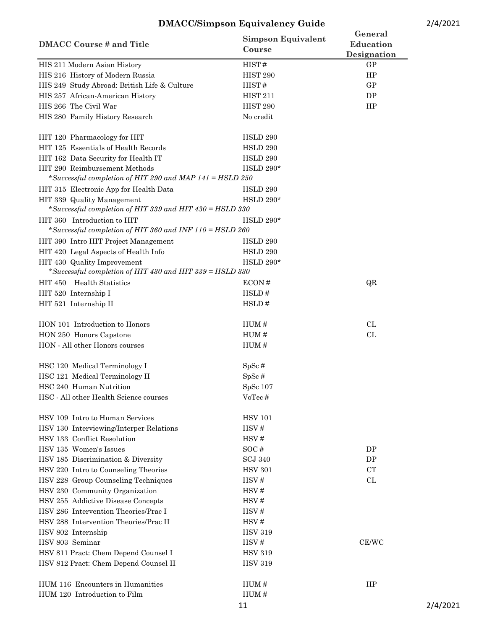| <b>DMACC Course # and Title</b>                                                           | <b>Simpson Equivalent</b><br>Course | General<br>Education<br>Designation |          |
|-------------------------------------------------------------------------------------------|-------------------------------------|-------------------------------------|----------|
| HIS 211 Modern Asian History                                                              | HIST#                               | GP                                  |          |
| HIS 216 History of Modern Russia                                                          | HIST <sub>290</sub>                 | HP                                  |          |
| HIS 249 Study Abroad: British Life & Culture                                              | HIST#                               | GP                                  |          |
| HIS 257 African-American History                                                          | <b>HIST 211</b>                     | DP                                  |          |
| HIS 266 The Civil War                                                                     | HIST <sub>290</sub>                 | HP                                  |          |
| HIS 280 Family History Research                                                           | No credit                           |                                     |          |
| HIT 120 Pharmacology for HIT                                                              | HSLD 290                            |                                     |          |
| HIT 125 Essentials of Health Records                                                      | HSLD 290                            |                                     |          |
| HIT 162 Data Security for Health IT                                                       | HSLD 290                            |                                     |          |
| HIT 290 Reimbursement Methods<br>*Successful completion of HIT 290 and MAP 141 = HSLD 250 | <b>HSLD 290*</b>                    |                                     |          |
| HIT 315 Electronic App for Health Data                                                    | HSLD 290                            |                                     |          |
| HIT 339 Quality Management<br>*Successful completion of HIT 339 and HIT 430 = HSLD 330    | <b>HSLD 290*</b>                    |                                     |          |
| HIT 360 Introduction to HIT<br>*Successful completion of HIT 360 and INF 110 = HSLD 260   | <b>HSLD 290*</b>                    |                                     |          |
| HIT 390 Intro HIT Project Management                                                      | HSLD 290                            |                                     |          |
| HIT 420 Legal Aspects of Health Info                                                      | HSLD 290                            |                                     |          |
| HIT 430 Quality Improvement                                                               | <b>HSLD 290*</b>                    |                                     |          |
| *Successful completion of HIT 430 and HIT 339 = HSLD 330                                  |                                     |                                     |          |
| HIT 450 Health Statistics                                                                 | ECON#                               | QR                                  |          |
| HIT 520 Internship I                                                                      | HSLD#                               |                                     |          |
| HIT 521 Internship II                                                                     | HSLD#                               |                                     |          |
| HON 101 Introduction to Honors                                                            | HUM#                                | CL                                  |          |
| HON 250 Honors Capstone                                                                   | HUM#                                | CL                                  |          |
| HON - All other Honors courses                                                            | HUM#                                |                                     |          |
| HSC 120 Medical Terminology I                                                             | $SpSc$ #                            |                                     |          |
| HSC 121 Medical Terminology II                                                            | $SpSc$ #                            |                                     |          |
| HSC 240 Human Nutrition                                                                   | $SpSc$ 107                          |                                     |          |
| HSC - All other Health Science courses                                                    | VoTec#                              |                                     |          |
| HSV 109 Intro to Human Services                                                           | <b>HSV 101</b>                      |                                     |          |
| HSV 130 Interviewing/Interper Relations                                                   | HSV#                                |                                     |          |
| HSV 133 Conflict Resolution                                                               | HSV#                                |                                     |          |
| HSV 135 Women's Issues                                                                    | SOC#                                | DP                                  |          |
| HSV 185 Discrimination & Diversity                                                        | <b>SCJ 340</b>                      | DP                                  |          |
| HSV 220 Intro to Counseling Theories                                                      | <b>HSV 301</b>                      | <b>CT</b>                           |          |
| HSV 228 Group Counseling Techniques                                                       | HSV#                                | CL                                  |          |
| HSV 230 Community Organization                                                            | HSV#                                |                                     |          |
| HSV 255 Addictive Disease Concepts                                                        | HSV#                                |                                     |          |
| HSV 286 Intervention Theories/Prac I                                                      | HSV#                                |                                     |          |
| HSV 288 Intervention Theories/Prac II                                                     | HSV#                                |                                     |          |
| HSV 802 Internship<br>HSV 803 Seminar                                                     | <b>HSV 319</b>                      |                                     |          |
|                                                                                           | HSV#                                | CE/WC                               |          |
| HSV 811 Pract: Chem Depend Counsel I<br>HSV 812 Pract: Chem Depend Counsel II             | <b>HSV 319</b><br><b>HSV 319</b>    |                                     |          |
|                                                                                           |                                     |                                     |          |
| HUM 116 Encounters in Humanities                                                          | HUM#                                | HP                                  |          |
| HUM 120 Introduction to Film                                                              | HUM#                                |                                     |          |
|                                                                                           | 11                                  |                                     | 2/4/2021 |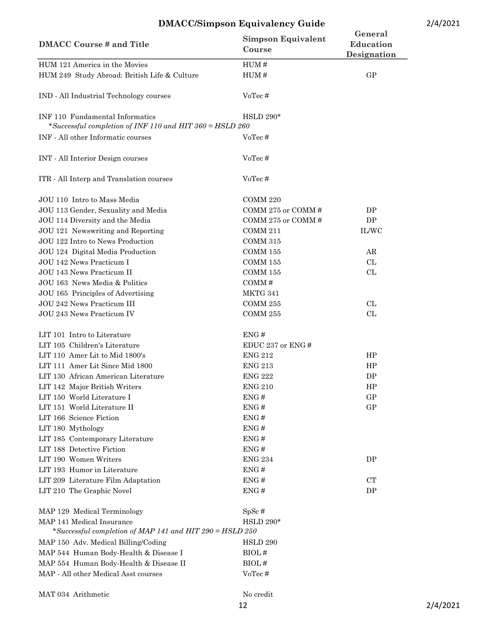| <b>DMACC Course # and Title</b>                                                             | <b>Simpson Equivalent</b><br>Course | General<br>Education<br>Designation |
|---------------------------------------------------------------------------------------------|-------------------------------------|-------------------------------------|
| HUM 121 America in the Movies                                                               | HUM#                                |                                     |
| HUM 249 Study Abroad: British Life & Culture                                                | HUM#                                | GP                                  |
| IND - All Industrial Technology courses                                                     | VoTec#                              |                                     |
| INF 110 Fundamental Informatics<br>*Successful completion of INF 110 and HIT 360 = HSLD 260 | <b>HSLD 290*</b>                    |                                     |
| INF - All other Informatic courses                                                          | VoTec#                              |                                     |
| INT - All Interior Design courses                                                           | VoTec#                              |                                     |
| ITR - All Interp and Translation courses                                                    | VoTec#                              |                                     |
| JOU 110 Intro to Mass Media                                                                 | COMM 220                            |                                     |
| JOU 113 Gender, Sexuality and Media                                                         | COMM 275 or COMM#                   | DP                                  |
| JOU 114 Diversity and the Media                                                             | COMM 275 or COMM#                   | DP                                  |
| JOU 121 Newswriting and Reporting                                                           | <b>COMM 211</b>                     | IL/WC                               |
| JOU 122 Intro to News Production                                                            | $\rm{COMM}$ 315                     |                                     |
| JOU 124 Digital Media Production                                                            | <b>COMM 155</b>                     | AR                                  |
| JOU 142 News Practicum I                                                                    | <b>COMM 155</b>                     | CL                                  |
| JOU 143 News Practicum II                                                                   | <b>COMM 155</b>                     | CL                                  |
| JOU 163 News Media & Politics                                                               | COMM#                               |                                     |
| JOU 165 Principles of Advertising                                                           | MKTG 341                            |                                     |
| JOU 242 News Practicum III                                                                  | COMM 255                            | CL                                  |
| JOU 243 News Practicum IV                                                                   | COMM 255                            | CL                                  |
| LIT 101 Intro to Literature                                                                 | ENG#                                |                                     |
| LIT 105 Children's Literature                                                               | EDUC 237 or ENG#                    |                                     |
| LIT 110 Amer Lit to Mid 1800's                                                              | <b>ENG 212</b>                      | HP                                  |
| LIT 111 Amer Lit Since Mid 1800                                                             | <b>ENG 213</b>                      | HP                                  |
| LIT 130 African American Literature                                                         | <b>ENG 222</b>                      | DP                                  |
| LIT 142 Major British Writers                                                               | <b>ENG 210</b>                      | HP                                  |
| LIT 150 World Literature I                                                                  | ENG#                                | GP                                  |
| LIT 151 World Literature II                                                                 | ENG#                                | GP                                  |
| LIT 166 Science Fiction                                                                     | ENG#                                |                                     |
| LIT 180 Mythology                                                                           | ENG#                                |                                     |
| LIT 185 Contemporary Literature                                                             | ENG#                                |                                     |
| LIT 188 Detective Fiction                                                                   | ENG#                                |                                     |
| LIT 190 Women Writers                                                                       | <b>ENG 234</b>                      | DP                                  |
| LIT 193 Humor in Literature                                                                 | ENG#                                |                                     |
| LIT 209 Literature Film Adaptation                                                          | ENG#                                | CT                                  |
| LIT 210 The Graphic Novel                                                                   | ENG#                                | DP                                  |
| MAP 129 Medical Terminology                                                                 | $SpSc$ #                            |                                     |
| MAP 141 Medical Insurance<br>*Successful completion of MAP 141 and HIT 290 = HSLD 250       | <b>HSLD 290*</b>                    |                                     |
| MAP 150 Adv. Medical Billing/Coding                                                         | HSLD 290                            |                                     |
| MAP 544 Human Body-Health & Disease I                                                       | BIOL#                               |                                     |
| MAP 554 Human Body-Health & Disease II                                                      | BIOL#                               |                                     |
| MAP - All other Medical Asst courses                                                        | VoTec#                              |                                     |
| MAT 034 Arithmetic                                                                          | No credit                           |                                     |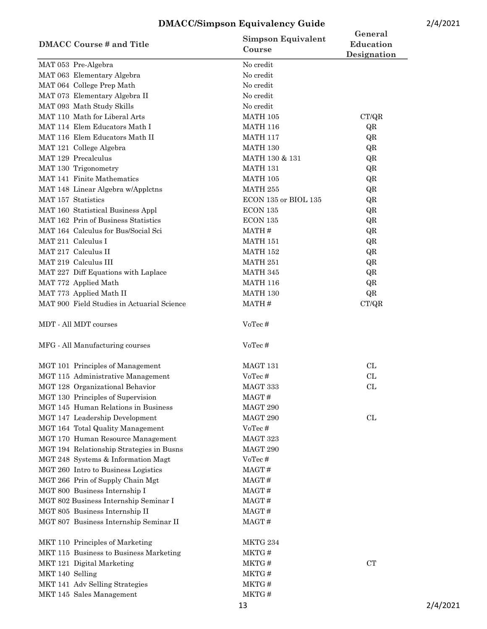| 2/4/2021 |  |  |
|----------|--|--|
|          |  |  |

|                                            | <b>Simpson Equivalent</b>        | General     |
|--------------------------------------------|----------------------------------|-------------|
| <b>DMACC Course # and Title</b>            | Course                           | Education   |
| MAT 053 Pre-Algebra                        | No credit                        | Designation |
| MAT 063 Elementary Algebra                 | No credit                        |             |
| MAT 064 College Prep Math                  | No credit                        |             |
| MAT 073 Elementary Algebra II              | No credit                        |             |
| MAT 093 Math Study Skills                  | No credit                        |             |
| MAT 110 Math for Liberal Arts              | $\operatorname{MATH}$ 105        | CT/QR       |
| MAT 114 Elem Educators Math I              | <b>MATH 116</b>                  | QR          |
| MAT 116 Elem Educators Math II             | <b>MATH 117</b>                  | QR          |
| MAT 121 College Algebra                    | <b>MATH 130</b>                  | QR          |
| MAT 129 Precalculus                        | MATH 130 & 131                   | QR          |
| MAT 130 Trigonometry                       | <b>MATH 131</b>                  | QR          |
| MAT 141 Finite Mathematics                 | <b>MATH 105</b>                  | QR          |
| MAT 148 Linear Algebra w/Applctns          | <b>MATH 255</b>                  | QR          |
| MAT 157 Statistics                         | $\rm ECON$ 135 or $\rm BIOL$ 135 | QR          |
| MAT 160 Statistical Business Appl          | ECON 135                         | QR          |
| MAT 162 Prin of Business Statistics        | ECON 135                         | QR          |
| MAT 164 Calculus for Bus/Social Sci        | MATH#                            | QR          |
| MAT 211 Calculus I                         | <b>MATH 151</b>                  | QR          |
| MAT 217 Calculus II                        | <b>MATH 152</b>                  | QR          |
| MAT 219 Calculus III                       | MATH 251                         | QR          |
| MAT 227 Diff Equations with Laplace        | MATH 345                         | QR          |
| MAT 772 Applied Math                       | <b>MATH 116</b>                  | QR          |
| MAT 773 Applied Math II                    | <b>MATH 130</b>                  | QR          |
| MAT 900 Field Studies in Actuarial Science | MATH#                            | CT/QR       |
|                                            |                                  |             |
| MDT - All MDT courses                      | VoTec#                           |             |
| MFG - All Manufacturing courses            | VoTec#                           |             |
| MGT 101 Principles of Management           | MAGT 131                         | CL          |
| MGT 115 Administrative Management          | VoTec#                           | CL          |
| MGT 128 Organizational Behavior            | MAGT 333                         | CL          |
| MGT 130 Principles of Supervision          | MAGT#                            |             |
| MGT 145 Human Relations in Business        | MAGT 290                         |             |
| MGT 147 Leadership Development             | MAGT 290                         | CL          |
| MGT 164 Total Quality Management           | VoTec#                           |             |
| MGT 170 Human Resource Management          | MAGT 323                         |             |
| MGT 194 Relationship Strategies in Busns   | MAGT 290                         |             |
| MGT 248 Systems & Information Magt         | VoTec#                           |             |
| MGT 260 Intro to Business Logistics        | MAGT#                            |             |
| MGT 266 Prin of Supply Chain Mgt           | MAGT#                            |             |
| MGT 800 Business Internship I              | MAGT#                            |             |
| MGT 802 Business Internship Seminar I      | MAGT#                            |             |
| MGT 805 Business Internship II             | MAGT#                            |             |
| MGT 807 Business Internship Seminar II     | MAGT#                            |             |
| MKT 110 Principles of Marketing            | MKTG 234                         |             |
| MKT 115 Business to Business Marketing     | MKTG#                            |             |
| MKT 121 Digital Marketing                  | MKTG#                            | CT          |
| MKT 140 Selling                            | MKTG#                            |             |
| MKT 141 Adv Selling Strategies             | MKTG#                            |             |
| MKT 145 Sales Management                   | MKTG#                            |             |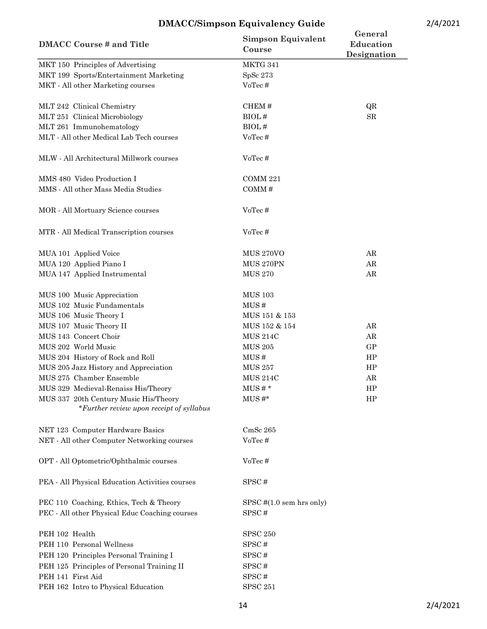| <b>DMACC Course # and Title</b>                                                   | <b>Simpson Equivalent</b><br>Course | General<br>Education<br>Designation |
|-----------------------------------------------------------------------------------|-------------------------------------|-------------------------------------|
| MKT 150 Principles of Advertising                                                 | MKTG 341                            |                                     |
| MKT 199 Sports/Entertainment Marketing                                            | SpSc 273                            |                                     |
| MKT - All other Marketing courses                                                 | VoTec#                              |                                     |
| MLT 242 Clinical Chemistry                                                        | CHEM#                               | QR                                  |
| MLT 251 Clinical Microbiology                                                     | BIOL#                               | ${\rm SR}$                          |
| MLT 261 Immunohematology                                                          | BIOL#                               |                                     |
| MLT - All other Medical Lab Tech courses                                          | VoTec#                              |                                     |
| MLW - All Architectural Millwork courses                                          | VoTec#                              |                                     |
| MMS 480 Video Production I                                                        | COMM 221                            |                                     |
| MMS - All other Mass Media Studies                                                | COMM#                               |                                     |
| MOR - All Mortuary Science courses                                                | VoTec#                              |                                     |
| MTR - All Medical Transcription courses                                           | VoTec#                              |                                     |
| MUA 101 Applied Voice                                                             | <b>MUS 270VO</b>                    | AR                                  |
| MUA 120 Applied Piano I                                                           | MUS 270PN                           | ${\rm AR}$                          |
| MUA 147 Applied Instrumental                                                      | <b>MUS 270</b>                      | ${\rm AR}$                          |
| MUS 100 Music Appreciation                                                        | <b>MUS 103</b>                      |                                     |
| MUS 102 Music Fundamentals                                                        | MUS#                                |                                     |
| MUS 106 Music Theory I                                                            | MUS 151 & 153                       |                                     |
| MUS 107 Music Theory II                                                           | MUS 152 & 154                       | AR                                  |
| MUS 143 Concert Choir                                                             | <b>MUS 214C</b>                     | ${\rm AR}$                          |
| MUS 202 World Music                                                               | <b>MUS 205</b>                      | GP                                  |
| MUS 204 History of Rock and Roll                                                  | MUS#                                | HP                                  |
| MUS 205 Jazz History and Appreciation                                             | <b>MUS 257</b>                      | HP                                  |
| MUS 275 Chamber Ensemble                                                          | <b>MUS 214C</b>                     | AR                                  |
| MUS 329 Medieval-Renaiss His/Theory                                               | $MUS#*$                             | HP                                  |
| MUS 337 20th Century Music His/Theory<br>*Further review upon receipt of syllabus | $MUS#*$                             | HP                                  |
| NET 123 Computer Hardware Basics                                                  | CmSc <sub>265</sub>                 |                                     |
| NET - All other Computer Networking courses                                       | VoTec#                              |                                     |
| OPT - All Optometric/Ophthalmic courses                                           | VoTec#                              |                                     |
| PEA - All Physical Education Activities courses                                   | SPSC#                               |                                     |
| PEC 110 Coaching, Ethics, Tech & Theory                                           | $SPSC$ # $(1.0$ sem hrs only)       |                                     |
| PEC - All other Physical Educ Coaching courses                                    | SPSC#                               |                                     |
| PEH 102 Health                                                                    | <b>SPSC 250</b>                     |                                     |
| PEH 110 Personal Wellness                                                         | SPSC#                               |                                     |
| PEH 120 Principles Personal Training I                                            | SPSC#                               |                                     |
| PEH 125 Principles of Personal Training II                                        | SPSC#                               |                                     |
| PEH 141 First Aid                                                                 | SPSC#                               |                                     |
| PEH 162 Intro to Physical Education                                               | <b>SPSC 251</b>                     |                                     |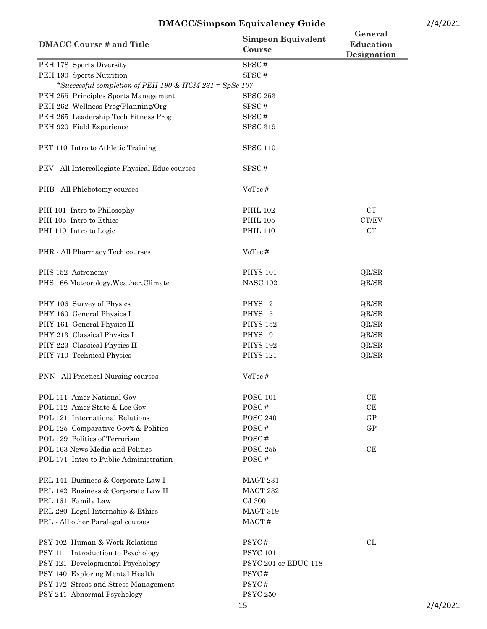| <b>DMACC Course # and Title</b>                        | <b>Simpson Equivalent</b><br>Course | General<br>Education<br>Designation |
|--------------------------------------------------------|-------------------------------------|-------------------------------------|
| PEH 178 Sports Diversity                               | SPSC#                               |                                     |
| PEH 190 Sports Nutrition                               | SPSC#                               |                                     |
| *Successful completion of PEH 190 & HCM 231 = SpSc 107 |                                     |                                     |
| PEH 255 Principles Sports Management                   | <b>SPSC 253</b>                     |                                     |
| PEH 262 Wellness Prog/Planning/Org                     | SPSC#                               |                                     |
| PEH 265 Leadership Tech Fitness Prog                   | SPSC#                               |                                     |
| PEH 920 Field Experience                               | <b>SPSC 319</b>                     |                                     |
| PET 110 Intro to Athletic Training                     | <b>SPSC 110</b>                     |                                     |
| PEV - All Intercollegiate Physical Educ courses        | SPSC#                               |                                     |
| PHB - All Phlebotomy courses                           | VoTec#                              |                                     |
| PHI 101 Intro to Philosophy                            | <b>PHIL 102</b>                     | ${\rm CT}$                          |
| PHI 105 Intro to Ethics                                | <b>PHIL 105</b>                     | CT/EV                               |
| PHI 110 Intro to Logic                                 | <b>PHIL 110</b>                     | <b>CT</b>                           |
| PHR - All Pharmacy Tech courses                        | VoTec#                              |                                     |
| PHS 152 Astronomy                                      | <b>PHYS 101</b>                     | QR/SR                               |
| PHS 166 Meteorology, Weather, Climate                  | <b>NASC 102</b>                     | QR/SR                               |
| PHY 106 Survey of Physics                              | <b>PHYS 121</b>                     | QR/SR                               |
| PHY 160 General Physics I                              | <b>PHYS 151</b>                     | QR/SR                               |
| PHY 161 General Physics II                             | <b>PHYS 152</b>                     | QR/SR                               |
| PHY 213 Classical Physics I                            | <b>PHYS 191</b>                     | QR/SR                               |
| PHY 223 Classical Physics II                           | <b>PHYS 192</b>                     | QR/SR                               |
| PHY 710 Technical Physics                              | <b>PHYS 121</b>                     | QR/SR                               |
| PNN - All Practical Nursing courses                    | VoTec#                              |                                     |
| POL 111 Amer National Gov                              | <b>POSC 101</b>                     | CE                                  |
| POL 112 Amer State & Loc Gov                           | POSC#                               | CE                                  |
| POL 121 International Relations                        | <b>POSC 240</b>                     | GP                                  |
| POL 125 Comparative Gov't & Politics                   | POSC#                               | GP                                  |
| POL 129 Politics of Terrorism                          | POSC#                               |                                     |
| POL 163 News Media and Politics                        | <b>POSC 255</b>                     | CE                                  |
| POL 171 Intro to Public Administration                 | POSC#                               |                                     |
| PRL 141 Business & Corporate Law I                     | MAGT 231                            |                                     |
| PRL 142 Business & Corporate Law II                    | MAGT 232                            |                                     |
| PRL 161 Family Law                                     | CJ 300                              |                                     |
| PRL 280 Legal Internship & Ethics                      | MAGT 319                            |                                     |
| PRL - All other Paralegal courses                      | MAGT#                               |                                     |
| PSY 102 Human & Work Relations                         | PSYC#                               | CL                                  |
| PSY 111 Introduction to Psychology                     | <b>PSYC 101</b>                     |                                     |
| PSY 121 Developmental Psychology                       | PSYC 201 or EDUC 118                |                                     |
| PSY 140 Exploring Mental Health                        | PSYC#                               |                                     |
| PSY 172 Stress and Stress Management                   | PSYC#                               |                                     |
| PSY 241 Abnormal Psychology                            | <b>PSYC 250</b>                     |                                     |

15 2/4/2021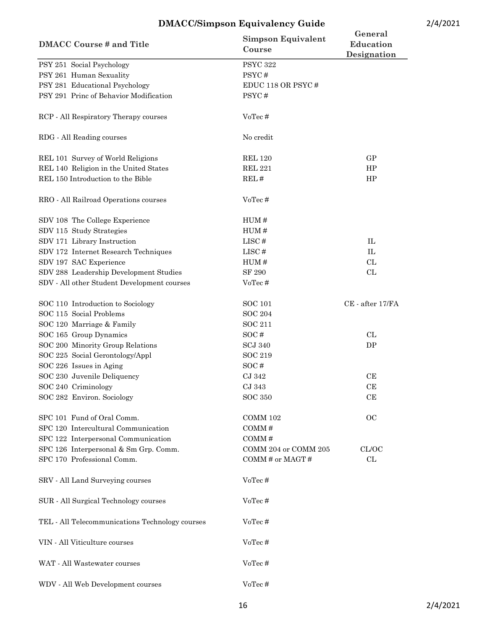| <b>DMACC Course # and Title</b>                 | <b>Simpson Equivalent</b><br>Course | General<br>Education<br>Designation |
|-------------------------------------------------|-------------------------------------|-------------------------------------|
| PSY 251 Social Psychology                       | <b>PSYC 322</b>                     |                                     |
| PSY 261 Human Sexuality                         | PSYC#                               |                                     |
| PSY 281 Educational Psychology                  | EDUC 118 OR PSYC#                   |                                     |
| PSY 291 Princ of Behavior Modification          | PSYC#                               |                                     |
| RCP - All Respiratory Therapy courses           | VoTec#                              |                                     |
| RDG - All Reading courses                       | No credit                           |                                     |
| REL 101 Survey of World Religions               | <b>REL 120</b>                      | GP                                  |
| REL 140 Religion in the United States           | <b>REL 221</b>                      | HP                                  |
| REL 150 Introduction to the Bible               | REL#                                | HP                                  |
| RRO - All Railroad Operations courses           | VoTec#                              |                                     |
| SDV 108 The College Experience                  | HUM#                                |                                     |
| SDV 115 Study Strategies                        | HUM#                                |                                     |
| SDV 171 Library Instruction                     | LISC#                               | ${\rm IL}$                          |
| SDV 172 Internet Research Techniques            | LISC#                               | IL                                  |
| SDV 197 SAC Experience                          | HUM#                                | CL                                  |
| SDV 288 Leadership Development Studies          | SF 290                              | CL                                  |
| SDV - All other Student Development courses     | VoTec#                              |                                     |
| SOC 110 Introduction to Sociology               | <b>SOC 101</b>                      | CE - after 17/FA                    |
| SOC 115 Social Problems                         | <b>SOC 204</b>                      |                                     |
| SOC 120 Marriage & Family                       | <b>SOC 211</b>                      |                                     |
| SOC 165 Group Dynamics                          | SOC#                                | CL                                  |
| SOC 200 Minority Group Relations                | <b>SCJ 340</b>                      | DP                                  |
| SOC 225 Social Gerontology/Appl                 | <b>SOC 219</b>                      |                                     |
| SOC 226 Issues in Aging                         | SOC#                                |                                     |
| SOC 230 Juvenile Deliquency                     | CJ 342                              | CE                                  |
| SOC 240 Criminology                             | CJ 343                              | CE                                  |
| SOC 282 Environ. Sociology                      | <b>SOC 350</b>                      | CE                                  |
| SPC 101 Fund of Oral Comm.                      | COMM 102                            | OC                                  |
| SPC 120 Intercultural Communication             | COMM#                               |                                     |
| SPC 122 Interpersonal Communication             | COMM#                               |                                     |
| SPC 126 Interpersonal & Sm Grp. Comm.           | COMM 204 or COMM 205                | CL/OC                               |
| SPC 170 Professional Comm.                      | COMM# or MAGT#                      | CL                                  |
| SRV - All Land Surveying courses                | VoTec#                              |                                     |
| SUR - All Surgical Technology courses           | VoTec#                              |                                     |
| TEL - All Telecommunications Technology courses | VoTec#                              |                                     |
| VIN - All Viticulture courses                   | VoTec#                              |                                     |
| WAT - All Wastewater courses                    | VoTec#                              |                                     |
| WDV - All Web Development courses               | VoTec#                              |                                     |